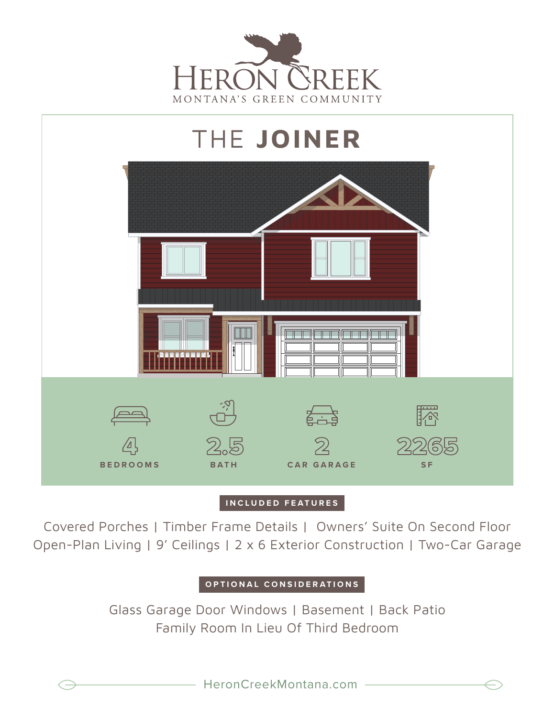



## **INCLUDED FEATURES**

Covered Porches | Timber Frame Details | Owners' Suite On Second Floor Open-Plan Living | 9' Ceilings | 2 x 6 Exterior Construction | Two-Car Garage

## **OPTIONAL CONSIDERATIONS**

Glass Garage Door Windows | Basement | Back Patio Family Room In Lieu Of Third Bedroom